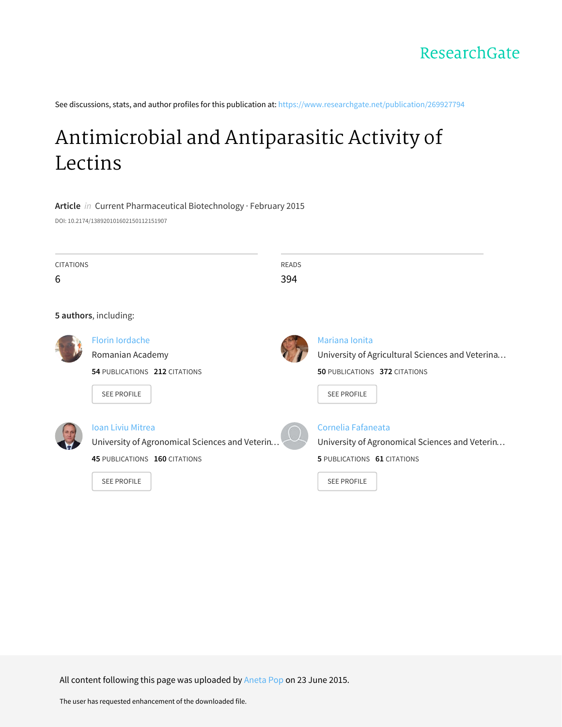See discussions, stats, and author profiles for this publication at: [https://www.researchgate.net/publication/269927794](https://www.researchgate.net/publication/269927794_Antimicrobial_and_Antiparasitic_Activity_of_Lectins?enrichId=rgreq-6732ac2b3bc67dadf82f5617cb63fa82-XXX&enrichSource=Y292ZXJQYWdlOzI2OTkyNzc5NDtBUzoyNDM0NzIzNDcxNjg3NjhAMTQzNTA1OTczOTU2NA%3D%3D&el=1_x_2&_esc=publicationCoverPdf)

# [Antimicrobial](https://www.researchgate.net/publication/269927794_Antimicrobial_and_Antiparasitic_Activity_of_Lectins?enrichId=rgreq-6732ac2b3bc67dadf82f5617cb63fa82-XXX&enrichSource=Y292ZXJQYWdlOzI2OTkyNzc5NDtBUzoyNDM0NzIzNDcxNjg3NjhAMTQzNTA1OTczOTU2NA%3D%3D&el=1_x_3&_esc=publicationCoverPdf) and Antiparasitic Activity of Lectins

**Article** in Current Pharmaceutical Biotechnology · February 2015 DOI: 10.2174/138920101602150112151907

| <b>CITATIONS</b> |                               | READS |                                                  |
|------------------|-------------------------------|-------|--------------------------------------------------|
| 6                |                               | 394   |                                                  |
|                  |                               |       |                                                  |
|                  | 5 authors, including:         |       |                                                  |
|                  | <b>Florin lordache</b>        |       | Mariana Ionita                                   |
|                  | Romanian Academy              |       | University of Agricultural Sciences and Veterina |
|                  | 54 PUBLICATIONS 212 CITATIONS |       | 50 PUBLICATIONS 372 CITATIONS                    |
|                  | <b>SEE PROFILE</b>            |       | <b>SEE PROFILE</b>                               |
|                  |                               |       |                                                  |



# Ioan Liviu [Mitrea](https://www.researchgate.net/profile/Ioan_Liviu_Mitrea?enrichId=rgreq-6732ac2b3bc67dadf82f5617cb63fa82-XXX&enrichSource=Y292ZXJQYWdlOzI2OTkyNzc5NDtBUzoyNDM0NzIzNDcxNjg3NjhAMTQzNTA1OTczOTU2NA%3D%3D&el=1_x_5&_esc=publicationCoverPdf)

University of [Agronomical](https://www.researchgate.net/institution/University_of_Agronomical_Sciences_and_Veterinary_Medicine?enrichId=rgreq-6732ac2b3bc67dadf82f5617cb63fa82-XXX&enrichSource=Y292ZXJQYWdlOzI2OTkyNzc5NDtBUzoyNDM0NzIzNDcxNjg3NjhAMTQzNTA1OTczOTU2NA%3D%3D&el=1_x_6&_esc=publicationCoverPdf) Sciences and Veterin…

**45** PUBLICATIONS **160** CITATIONS



Cornelia [Fafaneata](https://www.researchgate.net/profile/Cornelia_Fafaneata?enrichId=rgreq-6732ac2b3bc67dadf82f5617cb63fa82-XXX&enrichSource=Y292ZXJQYWdlOzI2OTkyNzc5NDtBUzoyNDM0NzIzNDcxNjg3NjhAMTQzNTA1OTczOTU2NA%3D%3D&el=1_x_5&_esc=publicationCoverPdf)

University of [Agronomical](https://www.researchgate.net/institution/University_of_Agronomical_Sciences_and_Veterinary_Medicine?enrichId=rgreq-6732ac2b3bc67dadf82f5617cb63fa82-XXX&enrichSource=Y292ZXJQYWdlOzI2OTkyNzc5NDtBUzoyNDM0NzIzNDcxNjg3NjhAMTQzNTA1OTczOTU2NA%3D%3D&el=1_x_6&_esc=publicationCoverPdf) Sciences and Veterin…

**5** PUBLICATIONS **61** CITATIONS

SEE [PROFILE](https://www.researchgate.net/profile/Cornelia_Fafaneata?enrichId=rgreq-6732ac2b3bc67dadf82f5617cb63fa82-XXX&enrichSource=Y292ZXJQYWdlOzI2OTkyNzc5NDtBUzoyNDM0NzIzNDcxNjg3NjhAMTQzNTA1OTczOTU2NA%3D%3D&el=1_x_7&_esc=publicationCoverPdf)

All content following this page was uploaded by [Aneta](https://www.researchgate.net/profile/Aneta_Pop?enrichId=rgreq-6732ac2b3bc67dadf82f5617cb63fa82-XXX&enrichSource=Y292ZXJQYWdlOzI2OTkyNzc5NDtBUzoyNDM0NzIzNDcxNjg3NjhAMTQzNTA1OTczOTU2NA%3D%3D&el=1_x_10&_esc=publicationCoverPdf) Pop on 23 June 2015.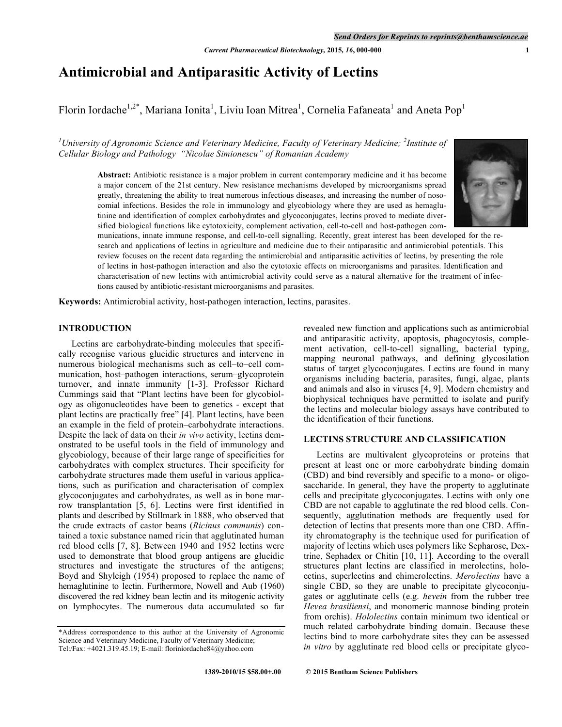# **Antimicrobial and Antiparasitic Activity of Lectins**

Florin Iordache<sup>1,2\*</sup>, Mariana Ionita<sup>1</sup>, Liviu Ioan Mitrea<sup>1</sup>, Cornelia Fafaneata<sup>1</sup> and Aneta Pop<sup>1</sup>

<sup>1</sup>University of Agronomic Science and Veterinary Medicine, Faculty of Veterinary Medicine; <sup>2</sup>Institute of *Cellular Biology and Pathology "Nicolae Simionescu" of Romanian Academy*

> **Abstract:** Antibiotic resistance is a major problem in current contemporary medicine and it has become a major concern of the 21st century. New resistance mechanisms developed by microorganisms spread greatly, threatening the ability to treat numerous infectious diseases, and increasing the number of nosocomial infections. Besides the role in immunology and glycobiology where they are used as hemaglutinine and identification of complex carbohydrates and glycoconjugates, lectins proved to mediate diversified biological functions like cytotoxicity, complement activation, cell-to-cell and host-pathogen com-



munications, innate immune response, and cell-to-cell signalling. Recently, great interest has been developed for the research and applications of lectins in agriculture and medicine due to their antiparasitic and antimicrobial potentials. This review focuses on the recent data regarding the antimicrobial and antiparasitic activities of lectins, by presenting the role of lectins in host-pathogen interaction and also the cytotoxic effects on microorganisms and parasites. Identification and characterisation of new lectins with antimicrobial activity could serve as a natural alternative for the treatment of infections caused by antibiotic-resistant microorganisms and parasites.

**Keywords:** Antimicrobial activity, host-pathogen interaction, lectins, parasites.

# **INTRODUCTION**

Lectins are carbohydrate-binding molecules that specifically recognise various glucidic structures and intervene in numerous biological mechanisms such as cell–to–cell communication, host–pathogen interactions, serum–glycoprotein turnover, and innate immunity [1-3]. Professor Richard Cummings said that "Plant lectins have been for glycobiology as oligonucleotides have been to genetics - except that plant lectins are practically free" [4]. Plant lectins, have been an example in the field of protein–carbohydrate interactions. Despite the lack of data on their *in vivo* activity, lectins demonstrated to be useful tools in the field of immunology and glycobiology, because of their large range of specificities for carbohydrates with complex structures. Their specificity for carbohydrate structures made them useful in various applications, such as purification and characterisation of complex glycoconjugates and carbohydrates, as well as in bone marrow transplantation [5, 6]. Lectins were first identified in plants and described by Stillmark in 1888, who observed that the crude extracts of castor beans (*Ricinus communis*) contained a toxic substance named ricin that agglutinated human red blood cells [7, 8]. Between 1940 and 1952 lectins were used to demonstrate that blood group antigens are glucidic structures and investigate the structures of the antigens; Boyd and Shyleigh (1954) proposed to replace the name of hemaglutinine to lectin. Furthermore, Nowell and Aub (1960) discovered the red kidney bean lectin and its mitogenic activity on lymphocytes. The numerous data accumulated so far

revealed new function and applications such as antimicrobial and antiparasitic activity, apoptosis, phagocytosis, complement activation, cell-to-cell signalling, bacterial typing, mapping neuronal pathways, and defining glycosilation status of target glycoconjugates. Lectins are found in many organisms including bacteria, parasites, fungi, algae, plants and animals and also in viruses [4, 9]. Modern chemistry and biophysical techniques have permitted to isolate and purify the lectins and molecular biology assays have contributed to the identification of their functions.

# **LECTINS STRUCTURE AND CLASSIFICATION**

Lectins are multivalent glycoproteins or proteins that present at least one or more carbohydrate binding domain (CBD) and bind reversibly and specific to a mono- or oligosaccharide. In general, they have the property to agglutinate cells and precipitate glycoconjugates. Lectins with only one CBD are not capable to agglutinate the red blood cells. Consequently, agglutination methods are frequently used for detection of lectins that presents more than one CBD. Affinity chromatography is the technique used for purification of majority of lectins which uses polymers like Sepharose, Dextrine, Sephadex or Chitin [10, 11]. According to the overall structures plant lectins are classified in merolectins, holoectins, superlectins and chimerolectins. *Merolectins* have a single CBD, so they are unable to precipitate glycoconjugates or agglutinate cells (e.g. *hevein* from the rubber tree *Hevea brasiliensi*, and monomeric mannose binding protein from orchis). *Hololectins* contain minimum two identical or much related carbohydrate binding domain. Because these lectins bind to more carbohydrate sites they can be assessed *in vitro* by agglutinate red blood cells or precipitate glyco-

<sup>\*</sup>Address correspondence to this author at the University of Agronomic Science and Veterinary Medicine, Faculty of Veterinary Medicine; Tel:/Fax: +4021.319.45.19; E-mail: floriniordache84@yahoo.com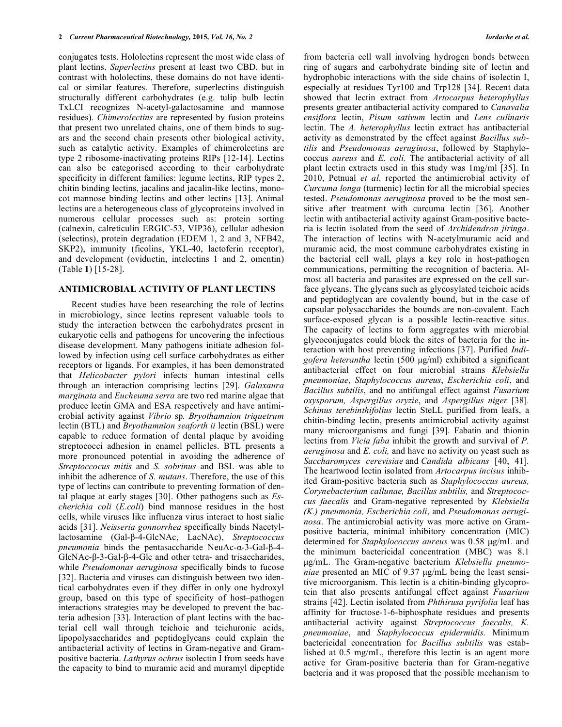conjugates tests. Hololectins represent the most wide class of plant lectins. *Superlectins* present at least two CBD, but in contrast with hololectins, these domains do not have identical or similar features. Therefore, superlectins distinguish structurally different carbohydrates (e.g. tulip bulb lectin TxLCI recognizes N-acetyl-galactosamine and mannose residues). *Chimerolectins* are represented by fusion proteins that present two unrelated chains, one of them binds to sugars and the second chain presents other biological activity, such as catalytic activity. Examples of chimerolectins are type 2 ribosome-inactivating proteins RIPs [12-14]. Lectins can also be categorised according to their carbohydrate specificity in different families: legume lectins, RIP types 2, chitin binding lectins, jacalins and jacalin-like lectins, monocot mannose binding lectins and other lectins [13]. Animal lectins are a heterogeneous class of glycoproteins involved in numerous cellular processes such as: protein sorting (calnexin, calreticulin ERGIC-53, VIP36), cellular adhesion (selectins), protein degradation (EDEM 1, 2 and 3, NFB42, SKP2), immunity (ficolins, YKL-40, lactoferin receptor), and development (oviductin, intelectins 1 and 2, omentin) (Table **1**) [15-28].

### **ANTIMICROBIAL ACTIVITY OF PLANT LECTINS**

Recent studies have been researching the role of lectins in microbiology, since lectins represent valuable tools to study the interaction between the carbohydrates present in eukaryotic cells and pathogens for uncovering the infectious disease development. Many pathogens initiate adhesion followed by infection using cell surface carbohydrates as either receptors or ligands. For examples, it has been demonstrated that *Helicobacter pylori* infects human intestinal cells through an interaction comprising lectins [29]. *Galaxaura marginata* and *Eucheuma serra* are two red marine algae that produce lectin GMA and ESA respectively and have antimicrobial activity against *Vibrio* sp*. Bryothamnion triquetrum*  lectin (BTL) and *Bryothamnion seaforth ii* lectin (BSL) were capable to reduce formation of dental plaque by avoiding streptococci adhesion in enamel pellicles. BTL presents a more pronounced potential in avoiding the adherence of *Streptoccocus mitis* and *S. sobrinus* and BSL was able to inhibit the adherence of *S. mutans*. Therefore, the use of this type of lectins can contribute to preventing formation of dental plaque at early stages [30]. Other pathogens such as *Escherichia coli* (*E.coli*) bind mannose residues in the host cells, while viruses like influenza virus interact to host sialic acids [31]. *Neisseria gonnorrhea* specifically binds Nacetyllactosamine (Gal-β-4-GlcNAc, LacNAc), *Streptococcus pneumonia* binds the pentasaccharide NeuAc-α-3-Gal-β-4- GlcNAc-β-3-Gal-β-4-Glc and other tetra- and trisaccharides, while *Pseudomonas aeruginosa* specifically binds to fucose [32]. Bacteria and viruses can distinguish between two identical carbohydrates even if they differ in only one hydroxyl group, based on this type of specificity of host–pathogen interactions strategies may be developed to prevent the bacteria adhesion [33]. Interaction of plant lectins with the bacterial cell wall through teichoic and teichuronic acids, lipopolysaccharides and peptidoglycans could explain the antibacterial activity of lectins in Gram-negative and Grampositive bacteria. *Lathyrus ochrus* isolectin I from seeds have the capacity to bind to muramic acid and muramyl dipeptide

from bacteria cell wall involving hydrogen bonds between ring of sugars and carbohydrate binding site of lectin and hydrophobic interactions with the side chains of isolectin I, especially at residues Tyr100 and Trp128 [34]. Recent data showed that lectin extract from *Artocarpus heterophyllus*  presents greater antibacterial activity compared to *Canavalia ensiflora* lectin, *Pisum sativum* lectin and *Lens culinaris* lectin. The *A. heterophyllus* lectin extract has antibacterial activity as demonstrated by the effect against *Bacillus subtilis* and *Pseudomonas aeruginosa*, followed by Staphylococcus *aureus* and *E. coli.* The antibacterial activity of all plant lectin extracts used in this study was 1mg/ml [35]. In 2010, Petnual *et al*. reported the antimicrobial activity of *Curcuma longa* (turmenic) lectin for all the microbial species tested. *Pseudomonas aeruginosa* proved to be the most sensitive after treatment with curcuma lectin [36]. Another lectin with antibacterial activity against Gram-positive bacteria is lectin isolated from the seed of *Archidendron jiringa*. The interaction of lectins with N-acetylmuramic acid and muramic acid, the most commune carbohydrates existing in the bacterial cell wall, plays a key role in host-pathogen communications, permitting the recognition of bacteria. Almost all bacteria and parasites are expressed on the cell surface glycans. The glycans such as glycosylated teichoic acids and peptidoglycan are covalently bound, but in the case of capsular polysaccharides the bounds are non-covalent. Each surface-exposed glycan is a possible lectin-reactive situs. The capacity of lectins to form aggregates with microbial glycoconjugates could block the sites of bacteria for the interaction with host preventing infections [37]. Purified *Indigofera heterantha* lectin (500 µg/ml) exhibited a significant antibacterial effect on four microbial strains *Klebsiella pneumoniae*, *Staphylococcus aureus*, *Escherichia coli*, and *Bacillus subtilis*, and no antifungal effect against *Fusarium oxysporum, Aspergillus oryzie*, and *Aspergillus niger* [38]*. Schinus terebinthifolius* lectin SteLL purified from leafs, a chitin-binding lectin, presents antimicrobial activity against many microorganisms and fungi [39]. Fabatin and thionin lectins from *Vicia faba* inhibit the growth and survival of *P. aeruginosa* and *E. coli,* and have no activity on yeast such as *Saccharomyces cerevisiae* and *Candida albicans* [40, 41]*.* The heartwood lectin isolated from *Artocarpus incisus* inhibited Gram-positive bacteria such as *Staphylococcus aureus, Corynebacterium callunae, Bacillus subtilis,* and *Streptococcus faecalis* and Gram-negative represented by *Klebsiella (K.) pneumonia, Escherichia coli*, and *Pseudomonas aeruginosa*. The antimicrobial activity was more active on Grampositive bacteria, minimal inhibitory concentration (MIC) determined for *Staphylococcus aureus* was 0.58 µg/mL and the minimum bactericidal concentration (MBC) was 8.1 µg/mL. The Gram-negative bacterium *Klebsiella pneumoniae* presented an MIC of 9.37 µg/mL being the least sensitive microorganism. This lectin is a chitin-binding glycoprotein that also presents antifungal effect against *Fusarium*  strains [42]. Lectin isolated from *Phthirusa pyrifolia* leaf has affinity for fructose-1-6-biphosphate residues and presents antibacterial activity against *Streptococcus faecalis, K. pneumoniae*, and *Staphylococcus epidermidis.* Minimum bactericidal concentration for *Bacillus subtilis* was established at 0.5 mg/mL, therefore this lectin is an agent more active for Gram-positive bacteria than for Gram-negative bacteria and it was proposed that the possible mechanism to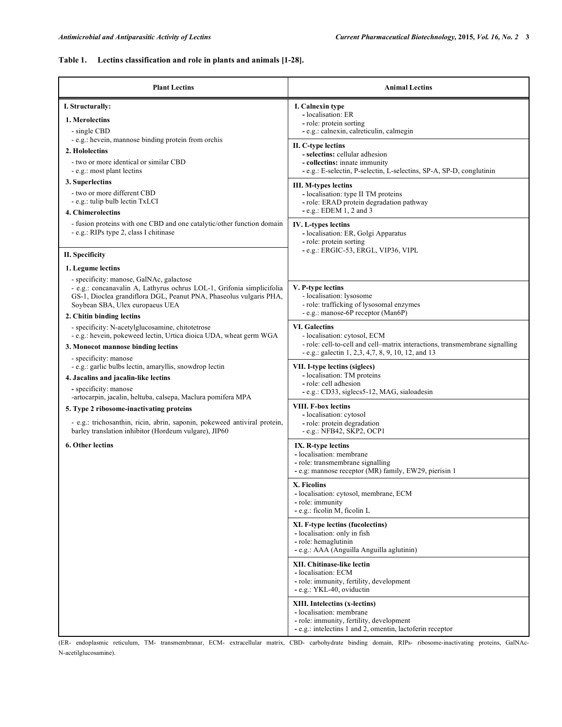# **Table 1. Lectins classification and role in plants and animals [1-28].**

| <b>Plant Lectins</b>                                                                                                                                                                                                       | <b>Animal Lectins</b>                                                                                                                                              |
|----------------------------------------------------------------------------------------------------------------------------------------------------------------------------------------------------------------------------|--------------------------------------------------------------------------------------------------------------------------------------------------------------------|
| I. Structurally:<br>1. Merolectins<br>- single CBD<br>- e.g.: hevein, mannose binding protein from orchis                                                                                                                  | I. Calnexin type<br>- localisation: ER<br>- role: protein sorting<br>- e.g.: calnexin, calreticulin, calmegin                                                      |
| 2. Hololectins<br>- two or more identical or similar CBD<br>- e.g.: most plant lectins                                                                                                                                     | II. C-type lectins<br>- selectins: cellular adhesion<br>- collectins: innate immunity<br>- e.g.: E-selectin, P-selectin, L-selectins, SP-A, SP-D, conglutinin      |
| 3. Superlectins<br>- two or more different CBD<br>- e.g.: tulip bulb lectin TxLCI<br>4. Chimerolectins                                                                                                                     | III. M-types lectins<br>- localisation: type II TM proteins<br>- role: ERAD protein degradation pathway<br>$-e.g.: EDEM 1, 2 and 3$                                |
| - fusion proteins with one CBD and one catalytic/other function domain<br>- e.g.: RIPs type 2, class I chitinase                                                                                                           | IV. L-types lectins<br>- localisation: ER, Golgi Apparatus<br>- role: protein sorting<br>- e.g.: ERGIC-53, ERGL, VIP36, VIPL                                       |
| II. Specificity                                                                                                                                                                                                            |                                                                                                                                                                    |
| 1. Legume lectins                                                                                                                                                                                                          |                                                                                                                                                                    |
| - specificity: manose, GalNAc, galactose<br>- e.g.: concanavalin A, Lathyrus ochrus LOL-1, Grifonia simplicifolia<br>GS-1, Dioclea grandiflora DGL, Peanut PNA, Phaseolus vulgaris PHA,<br>Soybean SBA, Ulex europaeus UEA | V. P-type lectins<br>- localisation: lysosome<br>- role: trafficking of lysosomal enzymes<br>- e.g.: manose-6P receptor (Man6P)                                    |
| 2. Chitin binding lectins<br>- specificity: N-acetylglucosamine, chitotetrose<br>- e.g.: hevein, pokeweed lectin, Urtica dioica UDA, wheat germ WGA                                                                        | <b>VI.</b> Galectins                                                                                                                                               |
| 3. Monocot mannose binding lectins                                                                                                                                                                                         | - localisation: cytosol, ECM<br>- role: cell-to-cell and cell-matrix interactions, transmembrane signalling<br>- e.g.: galectin 1, 2,3, 4,7, 8, 9, 10, 12, and 13  |
| - specificity: manose<br>- e.g.: garlic bulbs lectin, amaryllis, snowdrop lectin<br>4. Jacalins and jacalin-like lectins<br>- specificity: manose<br>-artocarpin, jacalin, heltuba, calsepa, Maclura pomifera MPA          | VII. I-type lectins (siglecs)<br>- localisation: TM proteins<br>- role: cell adhesion<br>- e.g.: CD33, siglecs5-12, MAG, sialoadesin                               |
| 5. Type 2 ribosome-inactivating proteins<br>- e.g.: trichosanthin, ricin, abrin, saponin, pokeweed antiviral protein,<br>barley translation inhibitor (Hordeum vulgare), JIP60                                             | <b>VIII. F-box lectins</b><br>- localisation: cytosol<br>- role: protein degradation<br>- e.g.: NFB42, SKP2, OCP1                                                  |
| <b>6. Other lectins</b>                                                                                                                                                                                                    | IX. R-type lectins<br>- localisation: membrane<br>- role: transmembrane signalling<br>- e.g: mannose receptor (MR) family, EW29, pierisin 1                        |
|                                                                                                                                                                                                                            | X. Ficolins<br>- localisation: cytosol, membrane, ECM<br>- role: immunity<br>- e.g.: ficolin M, ficolin L                                                          |
|                                                                                                                                                                                                                            | XI. F-type lectins (fucolectins)<br>- localisation: only in fish<br>- role: hemaglutinin<br>- e.g.: AAA (Anguilla Anguilla aglutinin)                              |
|                                                                                                                                                                                                                            | XII. Chitinase-like lectin<br>- localisation: ECM<br>- role: immunity, fertility, development<br>- e.g.: YKL-40, oviductin                                         |
|                                                                                                                                                                                                                            | XIII. Intelectins (x-lectins)<br>- localisation: membrane<br>- role: immunity, fertility, development<br>- e.g.: intelectins 1 and 2, omentin, lactoferin receptor |

(ER- endoplasmic reticulum, TM- transmembranar, ECM- extracellular matrix, CBD- carbohydrate binding domain, RIPs- ribosome-inactivating proteins, GalNAc-N-acetilglucosamine).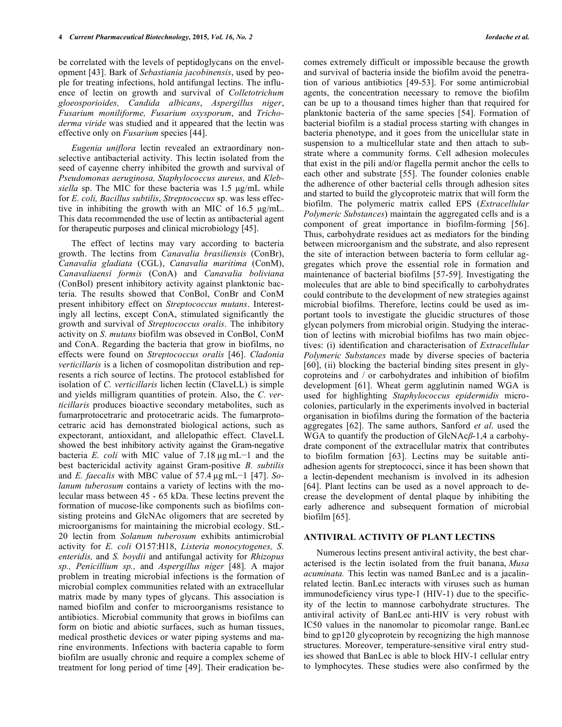be correlated with the levels of peptidoglycans on the envelopment [43]. Bark of *Sebastiania jacobinensis*, used by people for treating infections, hold antifungal lectins. The influence of lectin on growth and survival of *Colletotrichum gloeosporioides, Candida albicans*, *Aspergillus niger*, *Fusarium moniliforme, Fusarium oxysporum*, and *Trichoderma viride* was studied and it appeared that the lectin was effective only on *Fusarium* species [44].

*Eugenia uniflora* lectin revealed an extraordinary nonselective antibacterial activity. This lectin isolated from the seed of cayenne cherry inhibited the growth and survival of *Pseudomonas aeruginosa, Staphylococcus aureus,* and *Klebsiella* sp. The MIC for these bacteria was 1.5 µg/mL while for *E. coli, Bacillus subtilis*, *Streptococcus* sp. was less effective in inhibiting the growth with an MIC of 16.5 µg/mL. This data recommended the use of lectin as antibacterial agent for therapeutic purposes and clinical microbiology [45].

The effect of lectins may vary according to bacteria growth. The lectins from *Canavalia brasiliensis* (ConBr), *Canavalia gladiata* (CGL), *Canavalia maritima* (ConM), *Canavaliaensi formis* (ConA) and *Canavalia boliviana*  (ConBol) present inhibitory activity against planktonic bacteria. The results showed that ConBol, ConBr and ConM present inhibitory effect on *Streptococcus mutans*. Interestingly all lectins, except ConA, stimulated significantly the growth and survival of *Streptococcus oralis*. The inhibitory activity on *S. mutans* biofilm was obseved in ConBol, ConM and ConA. Regarding the bacteria that grow in biofilms, no effects were found on *Streptococcus oralis* [46]. *Cladonia verticillaris* is a lichen of cosmopolitan distribution and represents a rich source of lectins. The protocol established for isolation of *C. verticillaris* lichen lectin (ClaveLL) is simple and yields milligram quantities of protein. Also, the *C. verticillaris* produces bioactive secondary metabolites, such as fumarprotocetraric and protocetraric acids. The fumarprotocetraric acid has demonstrated biological actions, such as expectorant, antioxidant, and allelopathic effect. ClaveLL showed the best inhibitory activity against the Gram-negative bacteria *E. coli* with MIC value of 7.18 µg mL−1 and the best bactericidal activity against Gram-positive *B. subtilis* and *E. faecalis* with MBC value of 57.4 µg mL−1 [47]. *Solanum tuberosum* contains a variety of lectins with the molecular mass between 45 - 65 kDa. These lectins prevent the formation of mucose-like components such as biofilms consisting proteins and GlcNAc oligomers that are secreted by microorganisms for maintaining the microbial ecology. StL-20 lectin from *Solanum tuberosum* exhibits antimicrobial activity for *E. coli* O157:H18, *Listeria monocytogenes, S. enteridis,* and *S. boydii* and antifungal activity for *Rhizopus sp., Penicillium sp.,* and *Aspergillus niger* [48]*.* A major problem in treating microbial infections is the formation of microbial complex communities related with an extracellular matrix made by many types of glycans. This association is named biofilm and confer to microorganisms resistance to antibiotics. Microbial community that grows in biofilms can form on biotic and abiotic surfaces, such as human tissues, medical prosthetic devices or water piping systems and marine environments. Infections with bacteria capable to form biofilm are usually chronic and require a complex scheme of treatment for long period of time [49]. Their eradication becomes extremely difficult or impossible because the growth and survival of bacteria inside the biofilm avoid the penetration of various antibiotics [49-53]. For some antimicrobial agents, the concentration necessary to remove the biofilm can be up to a thousand times higher than that required for planktonic bacteria of the same species [54]. Formation of bacterial biofilm is a stadial process starting with changes in bacteria phenotype, and it goes from the unicellular state in suspension to a multicellular state and then attach to substrate where a community forms. Cell adhesion molecules that exist in the pili and/or flagella permit anchor the cells to each other and substrate [55]. The founder colonies enable the adherence of other bacterial cells through adhesion sites and started to build the glycoproteic matrix that will form the biofilm. The polymeric matrix called EPS (*Extracellular Polymeric Substances*) maintain the aggregated cells and is a component of great importance in biofilm-forming [56]. Thus, carbohydrate residues act as mediators for the binding between microorganism and the substrate, and also represent the site of interaction between bacteria to form cellular aggregates which prove the essential role in formation and maintenance of bacterial biofilms [57-59]. Investigating the molecules that are able to bind specifically to carbohydrates could contribute to the development of new strategies against microbial biofilms. Therefore, lectins could be used as important tools to investigate the glucidic structures of those glycan polymers from microbial origin. Studying the interaction of lectins with microbial biofilms has two main objectives: (i) identification and characterisation of *Extracellular Polymeric Substances* made by diverse species of bacteria [60], (ii) blocking the bacterial binding sites present in glycoproteins and / or carbohydrates and inhibition of biofilm development [61]. Wheat germ agglutinin named WGA is used for highlighting *Staphylococcus epidermidis* microcolonies, particularly in the experiments involved in bacterial organisation in biofilms during the formation of the bacteria aggregates [62]. The same authors, Sanford *et al*. used the WGA to quantify the production of GlcNAc*β*-1,4 a carbohydrate component of the extracellular matrix that contributes to biofilm formation [63]. Lectins may be suitable antiadhesion agents for streptococci, since it has been shown that a lectin-dependent mechanism is involved in its adhesion [64]. Plant lectins can be used as a novel approach to decrease the development of dental plaque by inhibiting the early adherence and subsequent formation of microbial biofilm [65].

#### **ANTIVIRAL ACTIVITY OF PLANT LECTINS**

Numerous lectins present antiviral activity, the best characterised is the lectin isolated from the fruit banana, *Musa acuminata.* This lectin was named BanLec and is a jacalinrelated lectin. BanLec interacts with viruses such as human immunodeficiency virus type-1 (HIV-1) due to the specificity of the lectin to mannose carbohydrate structures. The antiviral activity of BanLec anti-HIV is very robust with IC50 values in the nanomolar to picomolar range. BanLec bind to gp120 glycoprotein by recognizing the high mannose structures. Moreover, temperature-sensitive viral entry studies showed that BanLec is able to block HIV-1 cellular entry to lymphocytes. These studies were also confirmed by the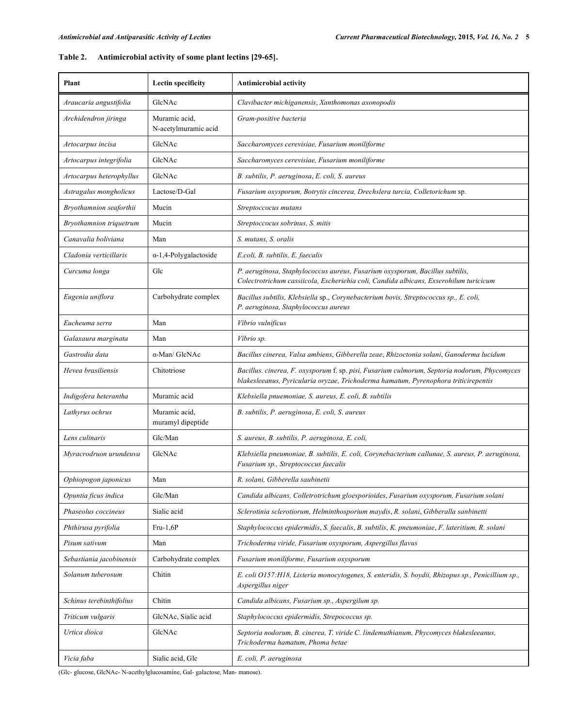# **Table 2. Antimicrobial activity of some plant lectins [29-65].**

| Plant                    | Lectin specificity                    | <b>Antimicrobial activity</b>                                                                                                                                                       |
|--------------------------|---------------------------------------|-------------------------------------------------------------------------------------------------------------------------------------------------------------------------------------|
| Araucaria angustifolia   | GlcNAc                                | Clavibacter michiganensis, Xanthomonas axonopodis                                                                                                                                   |
| Archidendron jiringa     | Muramic acid.<br>N-acetylmuramic acid | Gram-positive bacteria                                                                                                                                                              |
| Artocarpus incisa        | GlcNAc                                | Saccharomyces cerevisiae, Fusarium moniliforme                                                                                                                                      |
| Artocarpus integrifolia  | GlcNAc                                | Saccharomyces cerevisiae, Fusarium moniliforme                                                                                                                                      |
| Artocarpus heterophyllus | GlcNAc                                | B. subtilis, P. aeruginosa, E. coli, S. aureus                                                                                                                                      |
| Astragalus mongholicus   | Lactose/D-Gal                         | Fusarium oxysporum, Botrytis cincerea, Drechslera turcia, Colletorichum sp.                                                                                                         |
| Bryothamnion seaforthii  | Mucin                                 | Streptoccocus mutans                                                                                                                                                                |
| Bryothamnion triquetrum  | Mucin                                 | Streptoccocus sobrinus, S. mitis                                                                                                                                                    |
| Canavalia boliviana      | Man                                   | S. mutans, S. oralis                                                                                                                                                                |
| Cladonia verticillaris   | $\alpha$ -1,4-Polygalactoside         | E.coli, B. subtilis, E. faecalis                                                                                                                                                    |
| Curcuma longa            | Glc                                   | P. aeruginosa, Staphylococcus aureus, Fusarium oxysporum, Bacillus subtilis,<br>Colectrotrichum cassiicola, Escheriehia coli, Candida albicans, Exserohilum turicicum               |
| Eugenia uniflora         | Carbohydrate complex                  | Bacillus subtilis, Klebsiella sp., Corynebacterium bovis, Streptococcus sp., E. coli,<br>P. aeruginosa, Staphylococcus aureus                                                       |
| Eucheuma serra           | Man                                   | Vibrio vulnificus                                                                                                                                                                   |
| Galaxaura marginata      | Man                                   | Vibrio sp.                                                                                                                                                                          |
| Gastrodia data           | $\alpha$ -Man/ GlcNAc                 | Bacillus cinerea, Valsa ambiens, Gibberella zeae, Rhizoctonia solani, Ganoderma lucidum                                                                                             |
| Hevea brasiliensis       | Chitotriose                           | Bacillus. cinerea, F. oxysporum f. sp. pisi, Fusarium culmorum, Septoria nodorum, Phycomyces<br>blakesleeanus, Pyricularia oryzae, Trichoderma hamatum, Pyrenophora triticirepentis |
| Indigofera heterantha    | Muramic acid                          | Klebsiella pnuemoniae, S. aureus, E. coli, B. subtilis                                                                                                                              |
| Lathyrus ochrus          | Muramic acid.<br>muramyl dipeptide    | B. subtilis, P. aeruginosa, E. coli, S. aureus                                                                                                                                      |
| Lens culinaris           | Glc/Man                               | S. aureus, B. subtilis, P. aeruginosa, E. coli,                                                                                                                                     |
| Myracrodruon urundeuva   | GlcNAc                                | Klebsiella pneumoniae, B. subtilis, E. coli, Corynebacterium callunae, S. aureus, P. aeruginosa,<br>Fusarium sp., Streptococcus faecalis                                            |
| Ophiopogon japonicus     | Man                                   | R. solani, Gibberella saubinetii                                                                                                                                                    |
| Opuntia ficus indica     | Glc/Man                               | Candida albicans, Colletrotrichum gloesporioides, Fusarium oxysporum, Fusarium solani                                                                                               |
| Phaseolus coccineus      | Sialic acid                           | Sclerotinia sclerotiorum, Helminthosporium maydis, R. solani, Gibberalla sanbinetti                                                                                                 |
| Phthirusa pyrifolia      | $Fru-1,6P$                            | Staphylococcus epidermidis, S. faecalis, B. subtilis, K. pneumoniae, F. lateritium, R. solani                                                                                       |
| Pisum sativum            | Man                                   | Trichoderma viride, Fusarium oxysporum, Aspergillus flavus                                                                                                                          |
| Sebastiania jacobinensis | Carbohydrate complex                  | Fusarium moniliforme, Fusarium oxysporum                                                                                                                                            |
| Solanum tuberosum        | Chitin                                | E. coli O157:H18, Listeria monocytogenes, S. enteridis, S. boydii, Rhizopus sp., Penicillium sp.,<br>Aspergillus niger                                                              |
| Schinus terebinthifolius | Chitin                                | Candida albicans, Fusarium sp., Aspergilum sp.                                                                                                                                      |
| Triticum vulgaris        | GlcNAc, Sialic acid                   | Staphylococcus epidermidis, Strepococcus sp.                                                                                                                                        |
| Urtica dioica            | GlcNAc                                | Septoria nodorum, B. cinerea, T. viride C. lindemuthianum, Phycomyces blakesleeanus,<br>Trichoderma hamatum, Phoma betae                                                            |
| Vicia faba               | Sialic acid, Glc                      | E. coli, P. aeruginosa                                                                                                                                                              |

(Glc- glucose, GlcNAc- N-acethylglucosamine, Gal- galactose, Man- manose).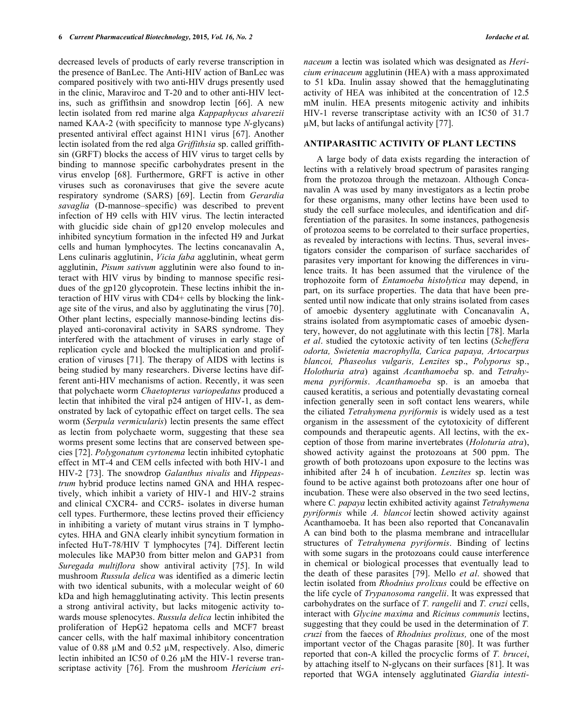decreased levels of products of early reverse transcription in the presence of BanLec. The Anti-HIV action of BanLec was compared positively with two anti-HIV drugs presently used in the clinic, Maraviroc and T-20 and to other anti-HIV lectins, such as griffithsin and snowdrop lectin [66]. A new lectin isolated from red marine alga *Kappaphycus alvarezii*  named KAA-2 (with specificity to mannose type *N*-glycans) presented antiviral effect against H1N1 virus [67]. Another lectin isolated from the red alga *Griffithsia* sp. called griffithsin (GRFT) blocks the access of HIV virus to target cells by binding to mannose specific carbohydrates present in the virus envelop [68]. Furthermore, GRFT is active in other viruses such as coronaviruses that give the severe acute respiratory syndrome (SARS) [69]. Lectin from *Gerardia savaglia* (D-mannose–specific) was described to prevent infection of H9 cells with HIV virus. The lectin interacted with glucidic side chain of gp120 envelop molecules and inhibited syncytium formation in the infected H9 and Jurkat cells and human lymphocytes. The lectins concanavalin A, Lens culinaris agglutinin, *Vicia faba* agglutinin, wheat germ agglutinin, *Pisum sativum* agglutinin were also found to interact with HIV virus by binding to mannose specific residues of the gp120 glycoprotein. These lectins inhibit the interaction of HIV virus with CD4+ cells by blocking the linkage site of the virus, and also by agglutinating the virus [70]. Other plant lectins, especially mannose-binding lectins displayed anti-coronaviral activity in SARS syndrome. They interfered with the attachment of viruses in early stage of replication cycle and blocked the multiplication and proliferation of viruses [71]. The therapy of AIDS with lectins is being studied by many researchers. Diverse lectins have different anti-HIV mechanisms of action. Recently, it was seen that polychaete worm *Chaetopterus variopedatus* produced a lectin that inhibited the viral p24 antigen of HIV-1, as demonstrated by lack of cytopathic effect on target cells. The sea worm (*Serpula vermicularis*) lectin presents the same effect as lectin from polychaete worm, suggesting that these sea worms present some lectins that are conserved between species [72]. *Polygonatum cyrtonema* lectin inhibited cytophatic effect in MT-4 and CEM cells infected with both HIV-1 and HIV-2 [73]. The snowdrop *Galanthus nivalis* and *Hippeastrum* hybrid produce lectins named GNA and HHA respectively, which inhibit a variety of HIV-1 and HIV-2 strains and clinical CXCR4- and CCR5- isolates in diverse human cell types. Furthermore, these lectins proved their efficiency in inhibiting a variety of mutant virus strains in T lymphocytes. HHA and GNA clearly inhibit syncytium formation in infected HuT-78/HIV T lymphocytes [74]. Different lectin molecules like MAP30 from bitter melon and GAP31 from *Suregada multiflora* show antiviral activity [75]. In wild mushroom *Russula delica* was identified as a dimeric lectin with two identical subunits, with a molecular weight of 60 kDa and high hemagglutinating activity. This lectin presents a strong antiviral activity, but lacks mitogenic activity towards mouse splenocytes. *Russula delica* lectin inhibited the proliferation of HepG2 hepatoma cells and MCF7 breast cancer cells, with the half maximal inhibitory concentration value of 0.88  $\mu$ M and 0.52  $\mu$ M, respectively. Also, dimeric lectin inhibited an IC50 of 0.26 µM the HIV-1 reverse transcriptase activity [76]. From the mushroom *Hericium eri-* *naceum* a lectin was isolated which was designated as *Hericium erinaceum* agglutinin (HEA) with a mass approximated to 51 kDa. Inulin assay showed that the hemagglutinating activity of HEA was inhibited at the concentration of 12.5 mM inulin. HEA presents mitogenic activity and inhibits HIV-1 reverse transcriptase activity with an IC50 of 31.7 µM, but lacks of antifungal activity [77].

#### **ANTIPARASITIC ACTIVITY OF PLANT LECTINS**

A large body of data exists regarding the interaction of lectins with a relatively broad spectrum of parasites ranging from the protozoa through the metazoan. Although Concanavalin A was used by many investigators as a lectin probe for these organisms, many other lectins have been used to study the cell surface molecules, and identification and differentiation of the parasites. In some instances, pathogenesis of protozoa seems to be correlated to their surface properties, as revealed by interactions with lectins. Thus, several investigators consider the comparison of surface saccharides of parasites very important for knowing the differences in virulence traits. It has been assumed that the virulence of the trophozoite form of *Entamoeba histolytica* may depend, in part, on its surface properties. The data that have been presented until now indicate that only strains isolated from cases of amoebic dysentery agglutinate with Concanavalin A, strains isolated from asymptomatic cases of amoebic dysentery, however, do not agglutinate with this lectin [78]. Marla *et al*. studied the cytotoxic activity of ten lectins (*Scheffera odorta, Swietenia macrophylla, Carica papaya, Artocarpus blancoi, Phaseolus vulgaris, Lenzites* sp., *Polyporus* sp., *Holothuria atra*) against *Acanthamoeba* sp. and *Tetrahymena pyriformis*. *Acanthamoeba* sp. is an amoeba that caused keratitis, a serious and potentially devastating corneal infection generally seen in soft contact lens wearers, while the ciliated *Tetrahymena pyriformis* is widely used as a test organism in the assessment of the cytotoxicity of different compounds and therapeutic agents. All lectins, with the exception of those from marine invertebrates (*Holoturia atra*), showed activity against the protozoans at 500 ppm. The growth of both protozoans upon exposure to the lectins was inhibited after 24 h of incubation. *Lenzites* sp. lectin was found to be active against both protozoans after one hour of incubation. These were also observed in the two seed lectins, where *C. papaya* lectin exhibited activity against *Tetrahymena pyriformis* while *A. blancoi* lectin showed activity against Acanthamoeba. It has been also reported that Concanavalin A can bind both to the plasma membrane and intracellular structures of *Tetrahymena pyriformis*. Binding of lectins with some sugars in the protozoans could cause interference in chemical or biological processes that eventually lead to the death of these parasites [79]. Mello *et al*. showed that lectin isolated from *Rhodnius prolixus* could be effective on the life cycle of *Trypanosoma rangelii*. It was expressed that carbohydrates on the surface of *T. rangelii* and *T. cruzi* cells, interact with *Glycine maxima* and *Ricinus communis* lectins, suggesting that they could be used in the determination of *T. cruzi* from the faeces of *Rhodnius prolixus,* one of the most important vector of the Chagas parasite [80]. It was further reported that con-A killed the procyclic forms of *T. brucei*, by attaching itself to N-glycans on their surfaces [81]. It was reported that WGA intensely agglutinated *Giardia intesti-*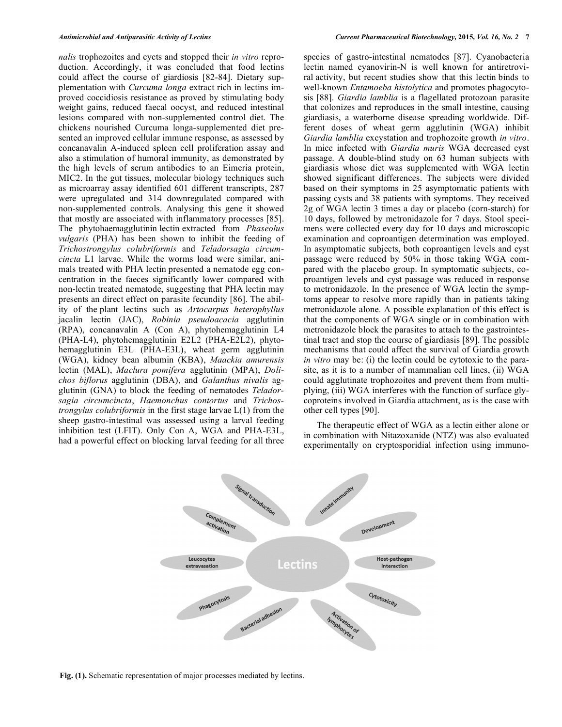*nalis* trophozoites and cycts and stopped their *in vitro* reproduction. Accordingly, it was concluded that food lectins could affect the course of giardiosis [82-84]. Dietary supplementation with *Curcuma longa* extract rich in lectins improved coccidiosis resistance as proved by stimulating body weight gains, reduced faecal oocyst, and reduced intestinal lesions compared with non-supplemented control diet. The chickens nourished Curcuma longa-supplemented diet presented an improved cellular immune response, as assessed by concanavalin A-induced spleen cell proliferation assay and also a stimulation of humoral immunity, as demonstrated by the high levels of serum antibodies to an Eimeria protein, MIC2. In the gut tissues, molecular biology techniques such as microarray assay identified 601 different transcripts, 287 were upregulated and 314 downregulated compared with non-supplemented controls. Analysing this gene it showed that mostly are associated with inflammatory processes [85]. The phytohaemagglutinin lectin extracted from *Phaseolus vulgaris* (PHA) has been shown to inhibit the feeding of *Trichostrongylus colubriformis* and *Teladorsagia circumcincta* L1 larvae. While the worms load were similar, animals treated with PHA lectin presented a nematode egg concentration in the faeces significantly lower compared with non-lectin treated nematode, suggesting that PHA lectin may presents an direct effect on parasite fecundity [86]. The ability of the plant lectins such as *Artocarpus heterophyllus* jacalin lectin (JAC), *Robinia pseudoacacia* agglutinin (RPA), concanavalin A (Con A), phytohemagglutinin L4 (PHA-L4), phytohemagglutinin E2L2 (PHA-E2L2), phytohemagglutinin E3L (PHA-E3L), wheat germ agglutinin (WGA), kidney bean albumin (KBA), *Maackia amurensis*  lectin (MAL), *Maclura pomifera* agglutinin (MPA), *Dolichos biflorus* agglutinin (DBA), and *Galanthus nivalis* agglutinin (GNA) to block the feeding of nematodes *Teladorsagia circumcincta*, *Haemonchus contortus* and *Trichostrongylus colubriformis* in the first stage larvae L(1) from the sheep gastro-intestinal was assessed using a larval feeding inhibition test (LFIT). Only Con A, WGA and PHA-E3L, had a powerful effect on blocking larval feeding for all three species of gastro-intestinal nematodes [87]. Cyanobacteria lectin named cyanovirin-N is well known for antiretroviral activity, but recent studies show that this lectin binds to well-known *Entamoeba histolytica* and promotes phagocytosis [88]. *Giardia lamblia* is a flagellated protozoan parasite that colonizes and reproduces in the small intestine, causing giardiasis, a waterborne disease spreading worldwide. Different doses of wheat germ agglutinin (WGA) inhibit *Giardia lamblia* excystation and trophozoite growth *in vitro*. In mice infected with *Giardia muris* WGA decreased cyst passage. A double-blind study on 63 human subjects with giardiasis whose diet was supplemented with WGA lectin showed significant differences. The subjects were divided based on their symptoms in 25 asymptomatic patients with passing cysts and 38 patients with symptoms. They received 2g of WGA lectin 3 times a day or placebo (corn-starch) for 10 days, followed by metronidazole for 7 days. Stool specimens were collected every day for 10 days and microscopic examination and coproantigen determination was employed. In asymptomatic subjects, both coproantigen levels and cyst passage were reduced by 50% in those taking WGA compared with the placebo group. In symptomatic subjects, coproantigen levels and cyst passage was reduced in response to metronidazole. In the presence of WGA lectin the symptoms appear to resolve more rapidly than in patients taking metronidazole alone. A possible explanation of this effect is that the components of WGA single or in combination with metronidazole block the parasites to attach to the gastrointestinal tract and stop the course of giardiasis [89]. The possible mechanisms that could affect the survival of Giardia growth *in vitro* may be: (i) the lectin could be cytotoxic to the parasite, as it is to a number of mammalian cell lines, (ii) WGA could agglutinate trophozoites and prevent them from multiplying, (iii) WGA interferes with the function of surface glycoproteins involved in Giardia attachment, as is the case with other cell types [90].

The therapeutic effect of WGA as a lectin either alone or in combination with Nitazoxanide (NTZ) was also evaluated experimentally on cryptosporidial infection using immuno-



**Fig. (1).** Schematic representation of major processes mediated by lectins.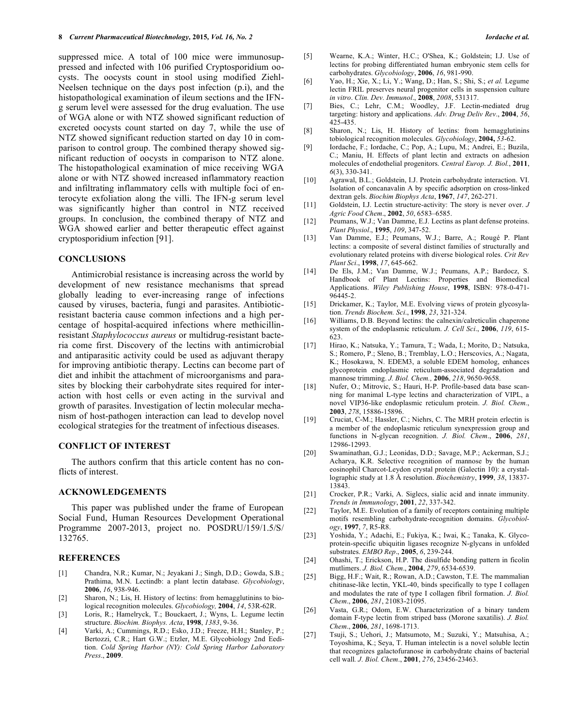suppressed mice. A total of 100 mice were immunosuppressed and infected with 106 purified Cryptosporidium oocysts. The oocysts count in stool using modified Ziehl-Neelsen technique on the days post infection (p.i), and the histopathological examination of ileum sections and the IFNg serum level were assessed for the drug evaluation. The use of WGA alone or with NTZ showed significant reduction of excreted oocysts count started on day 7, while the use of NTZ showed significant reduction started on day 10 in comparison to control group. The combined therapy showed significant reduction of oocysts in comparison to NTZ alone. The histopathological examination of mice receiving WGA alone or with NTZ showed increased inflammatory reaction and infiltrating inflammatory cells with multiple foci of enterocyte exfoliation along the villi. The IFN-g serum level was significantly higher than control in NTZ received groups. In conclusion, the combined therapy of NTZ and WGA showed earlier and better therapeutic effect against cryptosporidium infection [91].

#### **CONCLUSIONS**

Antimicrobial resistance is increasing across the world by development of new resistance mechanisms that spread globally leading to ever-increasing range of infections caused by viruses, bacteria, fungi and parasites. Antibioticresistant bacteria cause common infections and a high percentage of hospital-acquired infections where methicillinresistant *Staphylococcus aureus* or multidrug-resistant bacteria come first. Discovery of the lectins with antimicrobial and antiparasitic activity could be used as adjuvant therapy for improving antibiotic therapy. Lectins can become part of diet and inhibit the attachment of microorganisms and parasites by blocking their carbohydrate sites required for interaction with host cells or even acting in the survival and growth of parasites. Investigation of lectin molecular mechanism of host-pathogen interaction can lead to develop novel ecological strategies for the treatment of infectious diseases.

#### **CONFLICT OF INTEREST**

The authors confirm that this article content has no conflicts of interest.

#### **ACKNOWLEDGEMENTS**

This paper was published under the frame of European Social Fund, Human Resources Development Operational Programme 2007-2013, project no. POSDRU/159/1.5/S/ 132765.

#### **REFERENCES**

- [1] Chandra, N.R.; Kumar, N.; Jeyakani J.; Singh, D.D.; Gowda, S.B.; Prathima, M.N. Lectindb: a plant lectin database. *Glycobiology*, **2006**, *16*, 938-946.
- [2] Sharon, N.; Lis, H. History of lectins: from hemagglutinins to biological recognition molecules. *Glycobiology,* **2004**, *14*, 53R-62R.
- [3] Loris, R.; Hamelryck, T.; Bouckaert, J.; Wyns, L. Legume lectin structure. *Biochim. Biophys. Acta*, **1998**, *1383*, 9-36.
- [4] Varki, A.; Cummings, R.D.; Esko, J.D.; Freeze, H.H.; Stanley, P.; Bertozzi, C.R.; Hart G.W.; Etzler, M.E. Glycobiology 2nd Eedition. *Cold Spring Harbor (NY): Cold Spring Harbor Laboratory Press*., **2009**.
- [5] Wearne, K.A.; Winter, H.C.; O'Shea, K.; Goldstein; I.J. Use of lectins for probing differentiated human embryonic stem cells for carbohydrates. *Glycobiology*, **2006**, *16*, 981-990.
- [6] Yao, H.; Xie, X.; Li, Y.; Wang, D.; Han, S.; Shi, S.; *et al.* Legume lectin FRIL preserves neural progenitor cells in suspension culture *in vitro*. *Clin. Dev. Immunol*., **2008**, *2008*, 531317.
- [7] Bies, C.; Lehr, C.M.; Woodley, J.F. Lectin-mediated drug targeting: history and applications. *Adv. Drug Deliv Rev*., **2004**, *56*, 425-435.
- [8] Sharon, N.; Lis, H. History of lectins: from hemagglutinins tobiological recognition molecules. *Glycobiology*, **2004,** *53*-62.
- [9] Iordache, F.; Iordache, C.; Pop, A.; Lupu, M.; Andrei, E.; Buzila, C.; Maniu, H. Effects of plant lectin and extracts on adhesion molecules of endothelial progenitors. *Central Europ. J. Biol.*, **2011**, *6*(3), 330-341.
- [10] Agrawal, B.L.; Goldstein, I.J. Protein carbohydrate interaction. VI. Isolation of concanavalin A by specific adsorption on cross-linked dextran gels. *Biochim Biophys Acta*, **1967**, *147*, 262-271.
- [11] Goldstein, I.J. Lectin structure-activity: The story is never over. *J Agric Food Chem*., **2002**, *50*, 6583–6585.
- [12] Peumans, W.J.; Van Damme, E.J. Lectins as plant defense proteins. *Plant Physiol*., **1995**, *109*, 347-52.
- [13] Van Damme, E.J.; Peumans, W.J.; Barre, A.; Rougé P. Plant lectins: a composite of several distinct families of structurally and evolutionary related proteins with diverse biological roles. *Crit Rev Plant Sci*., **1998**, *17*, 645-662.
- [14] De Els, J.M.; Van Damme, W.J.; Peumans, A.P.; Bardocz, S. Handbook of Plant Lectins: Properties and Biomedical Applications. *Wiley Publishing House*, **1998**, ISBN: 978-0-471- 96445-2.
- [15] Drickamer, K.; Taylor, M.E. Evolving views of protein glycosylation. *Trends Biochem. Sci*., **1998**, *23*, 321-324.
- [16] Williams, D.B. Beyond lectins: the calnexin/calreticulin chaperone system of the endoplasmic reticulum. *J. Cell Sci*., **2006**, *119*, 615- 623.
- [17] Hirao, K.; Natsuka, Y.; Tamura, T.; Wada, I.; Morito, D.; Natsuka, S.; Romero, P.; Sleno, B.; Tremblay, L.O.; Herscovics, A.; Nagata, K.; Hosokawa, N. EDEM3, a soluble EDEM homolog, enhances glycoprotein endoplasmic reticulum-associated degradation and mannose trimming. *J. Biol. Chem.,* **2006**, *218*, 9650-9658.
- [18] Nufer, O.; Mitrovic, S.; Hauri, H-P. Profile-based data base scanning for manimal L-type lectins and characterization of VIPL, a novel VIP36-like endoplasmic reticulum protein. *J. Biol. Chem.*, **2003**, *278*, 15886-15896.
- [19] Cruciat, C-M.; Hassler, C.; Niehrs, C. The MRH protein erlectin is a member of the endoplasmic reticulum synexpression group and functions in N-glycan recognition. *J. Biol. Chem*., **2006**, *281*, 12986-12993.
- [20] Swaminathan, G.J.; Leonidas, D.D.; Savage, M.P.; Ackerman, S.J.; Acharya, K.R. Selective recognition of mannose by the human eosinophil Charcot-Leydon crystal protein (Galectin 10): a crystallographic study at 1.8 Å resolution. *Biochemistry*, **1999**, *38*, 13837- 13843.
- [21] Crocker, P.R.; Varki, A. Siglecs, sialic acid and innate immunity. *Trends in Immunology*, **2001**, *22*, 337-342.
- [22] Taylor, M.E. Evolution of a family of receptors containing multiple motifs resembling carbohydrate-recognition domains. *Glycobiology*, **1997**, *7*, R5-R8.
- [23] Yoshida, Y.; Adachi, E.; Fukiya, K.; Iwai, K.; Tanaka, K. Glycoprotein-specific ubiquitin ligases recognize N-glycans in unfolded substrates. *EMBO Rep*., **2005**, *6*, 239-244.
- [24] Ohashi, T.; Erickson, H.P. The disulfide bonding pattern in ficolin mutlimers. *J. Biol. Chem*., **2004**, *279*, 6534-6539.
- [25] Bigg, H.F.; Wait, R.; Rowan, A.D.; Cawston, T.E. The mammalian chitinase-like lectin, YKL-40, binds specifically to type I collagen and modulates the rate of type I collagen fibril formation. *J. Biol. Chem*., **2006**, *281*, 21083-21095.
- [26] Vasta, G.R.; Odom, E.W. Characterization of a binary tandem domain F-type lectin from striped bass (Morone saxatilis). *J. Biol. Chem*., **2006**, *281*, 1698-1713.
- [27] Tsuji, S.; Uehori, J.; Matsumoto, M.; Suzuki, Y.; Matsuhisa, A.; Toyoshima, K.; Seya, T. Human intelectin is a novel soluble lectin that recognizes galactofuranose in carbohydrate chains of bacterial cell wall*. J. Biol. Chem*., **2001**, *276*, 23456-23463.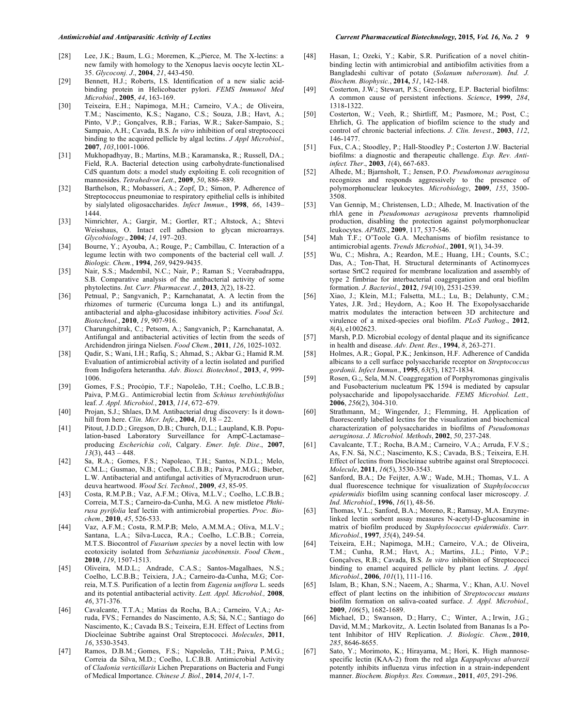- [28] Lee, J.K.; Baum, L.G.; Moremen, K.,;Pierce, M. The X-lectins: a new family with homology to the Xenopus laevis oocyte lectin XL-35. *Glycoconj. J*., **2004**, *21*, 443-450.
- [29] Bennett, H.J.; Roberts, I.S. Identification of a new sialic acidbinding protein in Helicobacter pylori. *FEMS Immunol Med Microbiol*., **2005**, *44*, 163-169.
- [30] Teixeira, E.H.; Napimoga, M.H.; Carneiro, V.A.; de Oliveira, T.M.; Nascimento, K.S.; Nagano, C.S.; Souza, J.B.; Havt, A.; Pinto, V.P.; Gonçalves, R.B.; Farias, W.R.; Saker-Sampaio, S.; Sampaio, A.H.; Cavada, B.S. *In vitro* inhibition of oral streptococci binding to the acquired pellicle by algal lectins. *J Appl Microbiol*., **2007**, *103*,1001-1006.
- [31] Mukhopadhyay, B.; Martins, M.B.; Karamanska, R.; Russell, DA.; Field, R.A. Bacterial detection using carbohydrate-functionalised CdS quantum dots: a model study exploiting E. coli recognition of mannosides. *Tetrahedron Lett*., **2009**, *50*, 886–889.
- [32] Barthelson, R.; Mobasseri, A.; Zopf, D.; Simon, P. Adherence of Streptococcus pneumoniae to respiratory epithelial cells is inhibited by sialylated oligosaccharides. *Infect Immun*., **1998**, *66*, 1439– 1444.
- [33] Nimrichter, A.; Gargir, M.; Gortler, RT.; Altstock, A.; Shtevi Weisshaus, O. Intact cell adhesion to glycan microarrays. *Glycobiology*., **2004**; *14*, 197–203.
- [34] Bourne, Y.; Ayouba, A.; Rouge, P.; Cambillau, C. Interaction of a legume lectin with two components of the bacterial cell wall. *J. Biologic. Chem.*, **1994**, *269*, 9429-9435.
- [35] Nair, S.S.; Madembil, N.C.; Nair, P.; Raman S.; Veerabadrappa, S.B. Comparative analysis of the antibacterial activity of some phytolectins. *Int. Curr. Pharmaceut. J.*, **2013**, *2*(2), 18-22.
- [36] Petnual, P.; Sangvanich, P.; Karnchanatat, A. A lectin from the rhizomes of turmeric (Curcuma longa L.) and its antifungal, antibacterial and alpha-glucosidase inhibitory activities. *Food Sci. Biotechnol.*, **2010**, *19*, 907-916.
- [37] Charungchitrak, C.; Petsom, A.; Sangvanich, P.; Karnchanatat, A. Antifungal and antibacterial activities of lectin from the seeds of Archidendron jiringa Nielsen. *Food Chem.*, **2011**, *126*, 1025-1032.
- [38] Qadir, S.; Wani, I.H.; Rafiq, S.; Ahmad, S.; Akbar G.; Hamid R.M. Evaluation of antimicrobial activity of a lectin isolated and purified from Indigofera heterantha. *Adv. Biosci. Biotechnol.*, **2013**, *4*, 999- 1006.
- [39] Gomes, F.S.; Procópio, T.F.; Napoleão, T.H.; Coelho, L.C.B.B.; Paiva, P.M.G.. Antimicrobial lectin from *Schinus terebinthifolius* leaf. *J. Appl. Microbiol.*, **2013**, *114*, 672–679.
- [40] Projan, S.J.; Shlaes, D.M. Antibacterial drug discovery: Is it downhill from here. *Clin. Micr. Infe*., **2004**, *10*, 18 – 22.
- [41] Pitout, J.D.D.; Gregson, D.B.; Church, D.L.; Laupland, K.B. Population-based Laboratory Surveillance for AmpC-Lactamase– producing *Escherichia coli*, Calgary. *Emer. Infe. Dise*., **2007**,  $\overline{13(3)}$ , 443 – 448.
- [42] Sa, R.A.; Gomes, F.S.; Napoleao, T.H.; Santos, N.D.L.; Melo, C.M.L.; Gusmao, N.B.; Coelho, L.C.B.B.; Paiva, P.M.G.; Bieber, L.W. Antibacterial and antifungal activities of Myracrodruon urundeuva heartwood. *Wood Sci. Technol.*, **2009**, *43*, 85-95.
- [43] Costa, R.M.P.B.; Vaz, A.F.M.; Oliva, M.L.V.; Coelho, L.C.B.B.; Correia, M.T.S.; Carneiro-da-Cunha, M.G. A new mistletoe *Phthirusa pyrifolia* leaf lectin with antimicrobial properties. *Proc. Biochem.,* **2010**, *45*, 526-533.
- [44] Vaz, A.F.M.; Costa, R.M.P.B; Melo, A.M.M.A.; Oliva, M.L.V.; Santana, L.A.; Silva-Lucca, R.A.; Coelho, L.C.B.B.; Correia, M.T.S. Biocontrol of *Fusarium species* by a novel lectin with low ecotoxicity isolated from *Sebastiania jacobinensis*. *Food Chem.*, **2010**, *119*, 1507-1513.
- [45] Oliveira, M.D.L.; Andrade, C.A.S.; Santos-Magalhaes, N.S.; Coelho, L.C.B.B.; Teixiera, J.A.; Carneiro-da-Cunha, M.G; Correia, M.T.S. Purification of a lectin from *Eugenia uniflora* L. seeds and its potential antibacterial activity. *Lett. Appl. Microbiol.,* **2008**, *46*, 371-376.
- [46] Cavalcante, T.T.A.; Matias da Rocha, B.A.; Carneiro, V.A.; Arruda, FVS.; Fernandes do Nascimento, A.S; Sá, N.C.; Santiago do Nascimento, K.; Cavada B.S.; Teixeira, E.H. Effect of Lectins from Diocleinae Subtribe against Oral Streptococci. *Molecules*, **2011**, *16*, 3530-3543.
- [47] Ramos, D.B.M.; Gomes, F.S.; Napoleão, T.H.; Paiva, P.M.G.; Correia da Silva, M.D.; Coelho, L.C.B.B. Antimicrobial Activity of *Cladonia verticillaris* Lichen Preparations on Bacteria and Fungi of Medical Importance. *Chinese J. Biol.*, **2014**, *2014*, 1-7.
- [48] Hasan, I.; Ozeki, Y.; Kabir, S.R. Purification of a novel chitinbinding lectin with antimicrobial and antibiofilm activities from a Bangladeshi cultivar of potato (*Solanum tuberosum*). *Ind. J. Biochem. Biophysic.*, **2014,** *51*, 142-148.
- [49] Costerton, J.W.; Stewart, P.S.; Greenberg, E.P. Bacterial biofilms: A common cause of persistent infections. *Science*, **1999**, *284*, 1318-1322.
- [50] Costerton, W.; Veeh, R.; Shirtliff, M.; Pasmore, M.; Post, C.; Ehrlich, G. The application of biofilm science to the study and control of chronic bacterial infections. *J. Clin. Invest*., **2003**, *112*, 146-1477.
- [51] Fux, C.A.; Stoodley, P.; Hall-Stoodley P.; Costerton J.W. Bacterial biofilms: a diagnostic and therapeutic challenge. *Exp. Rev. Antiinfect. Ther*., **2003**, *1*(4), 667-683.
- [52] Alhede, M.; Bjarnsholt, T.; Jensen, P.O. *Pseudomonas aeruginosa* recognizes and responds aggressively to the presence of polymorphonuclear leukocytes. *Microbiology*, **2009**, *155*, 3500- 3508.
- [53] Van Gennip, M.; Christensen, L.D.; Alhede, M. Inactivation of the rhlA gene in *Pseudomonas aeruginosa* prevents rhamnolipid production, disabling the protection against polymorphonuclear leukocytes. *APMIS*., **2009**, 117, 537-546.
- [54] Mah T.F.; O'Toole G.A. Mechanisms of biofilm resistance to antimicrobial agents. *Trends Microbiol*., **2001**, *9*(1), 34-39.
- [55] Wu, C.; Mishra, A.; Reardon, M.E.; Huang, I.H.; Counts, S.C.; Das, A.; Ton-That, H. Structural determinants of Actinomyces sortase SrtC2 required for membrane localization and assembly of type 2 fimbriae for interbacterial coaggregation and oral biofilm formation*. J. Bacteriol*., **2012**, *194*(10), 2531-2539.
- [56] Xiao, J.; Klein, M.I.; Falsetta, M.L.; Lu, B.; Delahunty, C.M.; Yates, J.R. 3rd.; Heydorn, A.; Koo H. The Exopolysaccharide matrix modulates the interaction between 3D architecture and virulence of a mixed-species oral biofilm. *PLoS Pathog*., **2012**, *8*(4), e1002623.
- [57] Marsh, P.D. Microbial ecology of dental plaque and its significance in health and disease. *Adv. Dent. Res*., **1994**, *8*, 263-271.
- [58] Holmes, A.R.; Gopal, P.K.; Jenkinson, H.F. Adherence of Candida albicans to a cell surface polysaccharide receptor on *Streptococcus gordonii*. *Infect Immun*., **1995**, *63*(5), 1827-1834.
- [59] Rosen, G.;, Sela, M.N. Coaggregation of Porphyromonas gingivalis and Fusobacterium nucleatum PK 1594 is mediated by capsular polysaccharide and lipopolysaccharide. *FEMS Microbiol. Lett.,* **2006**, *256*(2), 304-310.
- [60] Strathmann, M.; Wingender, J.; Flemming, H. Application of fluorescently labelled lectins for the visualization and biochemical characterization of polysaccharides in biofilms of *Pseudomonas aeruginosa*. *J. Microbiol. Methods*, **2002**, *50*, 237-248.
- [61] Cavalcante, T.T.; Rocha, B.A.M.; Carneiro, V.A.; Arruda, F.V.S.; As, F.N. Sá, N.C.; Nascimento, K.S.; Cavada, B.S.; Teixeira, E.H. Effect of lectins from Diocleinae subtribe against oral Streptococci. *Molecule*, **2011**, *16*(5), 3530-3543.
- [62] Sanford, B.A.; De Feijter, A.W.; Wade, M.H.; Thomas, V.L. A dual fluorescence technique for visualization of *Staphylococcus epidermidis* biofilm using scanning confocal laser microscopy. *J. Ind. Microbiol*., **1996**, *16*(1), 48-56.
- [63] Thomas, V.L.; Sanford, B.A.; Moreno, R.; Ramsay, M.A. Enzymelinked lectin sorbent assay measures N-acetyl-D-glucosamine in matrix of biofilm produced by *Staphylococcus epidermidis*. *Curr. Microbiol*., **1997**, *35*(4), 249-54.
- [64] Teixeira, E.H.; Napimoga, M.H.; Carneiro, V.A.; de Oliveira, T.M.; Cunha, R.M.; Havt, A.; Martins, J.L.; Pinto, V.P.; Gonçalves, R.B.; Cavada, B.S. *In vitro* inhibition of Streptococci binding to enamel acquired pellicle by plant lectins. *J. Appl. Microbiol*., **2006**, *101*(1), 111-116.
- [65] Islam, B.; Khan, S.N.; Naeem, A.; Sharma, V.; Khan, A.U. Novel effect of plant lectins on the inhibition of *Streptococcus mutans* biofilm formation on saliva-coated surface. *J. Appl. Microbiol.,* **2009**, *106*(5), 1682-1689.
- [66] Michael, D.; Swanson, D.; Harry, C.; Winter, A.; Irwin, J.G.; David, M.M.; Markovitz,. A. Lectin Isolated from Bananas Is a Potent Inhibitor of HIV Replication. *J. Biologic. Chem.*, **2010**, *285*, 8646-8655.
- [67] Sato, Y.; Morimoto, K.; Hirayama, M.; Hori, K. High mannosespecific lectin (KAA-2) from the red alga *Kappaphycus alvarezii* potently inhibits influenza virus infection in a strain-independent manner. *Biochem. Biophys. Res. Commun*., **2011**, *405*, 291-296.